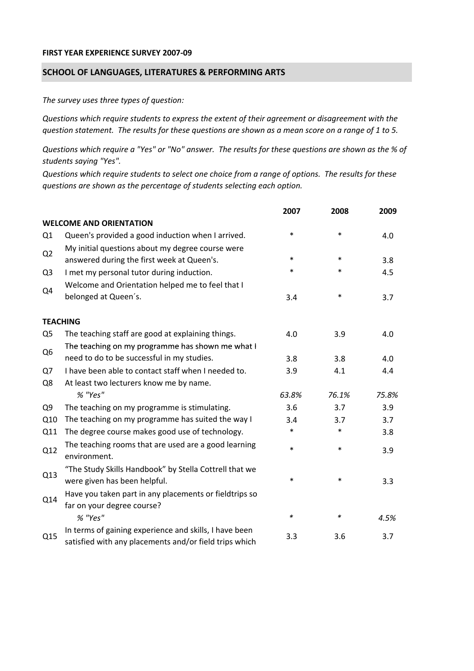## **FIRST YEAR EXPERIENCE SURVEY 2007‐09**

## **SCHOOL OF LANGUAGES, LITERATURES & PERFORMING ARTS**

*The survey uses three types of question:*

*Questions which require students to express the extent of their agreement or disagreement with the* question statement. The results for these questions are shown as a mean score on a range of 1 to 5.

Questions which require a "Yes" or "No" answer. The results for these questions are shown as the % of *students saying "Yes".*

Questions which require students to select one choice from a range of options. The results for these *questions are shown as the percentage of students selecting each option.*

|                |                                                                                                                  | 2007   | 2008   | 2009  |
|----------------|------------------------------------------------------------------------------------------------------------------|--------|--------|-------|
|                | <b>WELCOME AND ORIENTATION</b>                                                                                   |        |        |       |
| Q1             | Queen's provided a good induction when I arrived.                                                                | $\ast$ | $\ast$ | 4.0   |
| Q2             | My initial questions about my degree course were<br>answered during the first week at Queen's.                   | $\ast$ | $\ast$ | 3.8   |
| Q <sub>3</sub> | I met my personal tutor during induction.                                                                        | $\ast$ | $\ast$ | 4.5   |
| Q4             | Welcome and Orientation helped me to feel that I                                                                 |        |        |       |
|                | belonged at Queen's.                                                                                             | 3.4    | $\ast$ | 3.7   |
|                | <b>TEACHING</b>                                                                                                  |        |        |       |
| Q <sub>5</sub> | The teaching staff are good at explaining things.                                                                | 4.0    | 3.9    | 4.0   |
|                | The teaching on my programme has shown me what I                                                                 |        |        |       |
| Q <sub>6</sub> | need to do to be successful in my studies.                                                                       | 3.8    | 3.8    | 4.0   |
| Q7             | I have been able to contact staff when I needed to.                                                              | 3.9    | 4.1    | 4.4   |
| Q8             | At least two lecturers know me by name.                                                                          |        |        |       |
|                | % "Yes"                                                                                                          | 63.8%  | 76.1%  | 75.8% |
| Q <sub>9</sub> | The teaching on my programme is stimulating.                                                                     | 3.6    | 3.7    | 3.9   |
| Q10            | The teaching on my programme has suited the way I                                                                | 3.4    | 3.7    | 3.7   |
| Q11            | The degree course makes good use of technology.                                                                  | $\ast$ | $\ast$ | 3.8   |
| Q12            | The teaching rooms that are used are a good learning<br>environment.                                             | $\ast$ | $\ast$ | 3.9   |
| Q13            | "The Study Skills Handbook" by Stella Cottrell that we<br>were given has been helpful.                           | *      | $\ast$ | 3.3   |
| Q14            | Have you taken part in any placements or fieldtrips so<br>far on your degree course?                             |        |        |       |
|                | % "Yes"                                                                                                          | $\ast$ | $\ast$ | 4.5%  |
| Q15            | In terms of gaining experience and skills, I have been<br>satisfied with any placements and/or field trips which | 3.3    | 3.6    | 3.7   |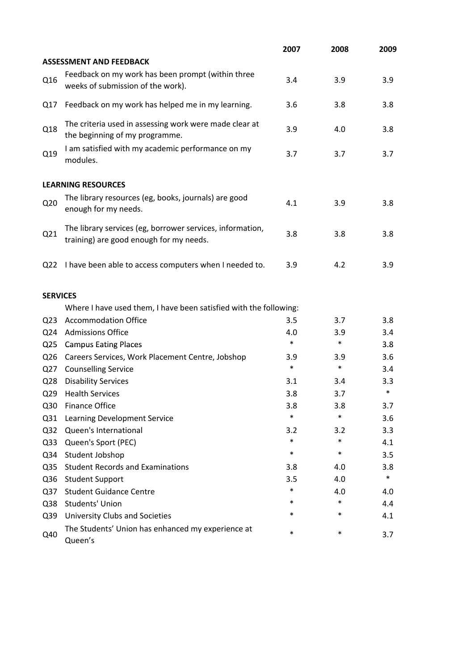|                 |                                                                                                      | 2007   | 2008   | 2009   |
|-----------------|------------------------------------------------------------------------------------------------------|--------|--------|--------|
|                 | <b>ASSESSMENT AND FEEDBACK</b>                                                                       |        |        |        |
| Q16             | Feedback on my work has been prompt (within three<br>weeks of submission of the work).               | 3.4    | 3.9    | 3.9    |
| Q17             | Feedback on my work has helped me in my learning.                                                    | 3.6    | 3.8    | 3.8    |
| Q18             | The criteria used in assessing work were made clear at<br>the beginning of my programme.             | 3.9    | 4.0    | 3.8    |
| Q19             | I am satisfied with my academic performance on my<br>modules.                                        | 3.7    | 3.7    | 3.7    |
|                 | <b>LEARNING RESOURCES</b>                                                                            |        |        |        |
| Q <sub>20</sub> | The library resources (eg, books, journals) are good<br>enough for my needs.                         | 4.1    | 3.9    | 3.8    |
| Q21             | The library services (eg, borrower services, information,<br>training) are good enough for my needs. | 3.8    | 3.8    | 3.8    |
| Q22             | I have been able to access computers when I needed to.                                               | 3.9    | 4.2    | 3.9    |
| <b>SERVICES</b> |                                                                                                      |        |        |        |
|                 | Where I have used them, I have been satisfied with the following:                                    |        |        |        |
| Q <sub>23</sub> | <b>Accommodation Office</b>                                                                          | 3.5    | 3.7    | 3.8    |
| Q <sub>24</sub> | <b>Admissions Office</b>                                                                             | 4.0    | 3.9    | 3.4    |
| Q <sub>25</sub> | <b>Campus Eating Places</b>                                                                          | $\ast$ | $\ast$ | 3.8    |
| Q <sub>26</sub> | Careers Services, Work Placement Centre, Jobshop                                                     | 3.9    | 3.9    | 3.6    |
| Q27             | <b>Counselling Service</b>                                                                           | $\ast$ | $\ast$ | 3.4    |
| Q <sub>28</sub> | <b>Disability Services</b>                                                                           | 3.1    | 3.4    | 3.3    |
| Q <sub>29</sub> | <b>Health Services</b>                                                                               | 3.8    | 3.7    | $\ast$ |
| Q30             | <b>Finance Office</b>                                                                                | 3.8    | 3.8    | 3.7    |
| Q31             | Learning Development Service                                                                         | $\ast$ | $\ast$ | 3.6    |
| Q <sub>32</sub> | Queen's International                                                                                | 3.2    | 3.2    | 3.3    |
| Q <sub>33</sub> | Queen's Sport (PEC)                                                                                  | $\ast$ | $\ast$ | 4.1    |
| Q34             | Student Jobshop                                                                                      | $\ast$ | $\ast$ | 3.5    |
| Q <sub>35</sub> | <b>Student Records and Examinations</b>                                                              | 3.8    | 4.0    | 3.8    |
| Q36             | <b>Student Support</b>                                                                               | 3.5    | 4.0    | $\ast$ |
| Q <sub>37</sub> | <b>Student Guidance Centre</b>                                                                       | $\ast$ | 4.0    | 4.0    |
| Q38             | Students' Union                                                                                      | *      | $\ast$ | 4.4    |
| Q39             | <b>University Clubs and Societies</b>                                                                | *      | *      | 4.1    |
| Q40             | The Students' Union has enhanced my experience at<br>Queen's                                         | $\ast$ | $\ast$ | 3.7    |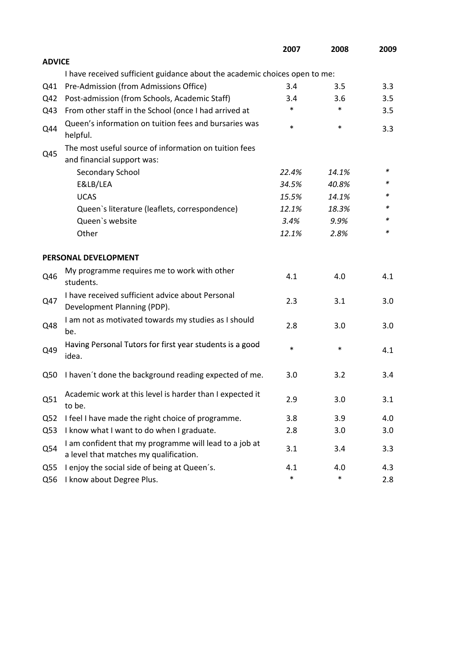|                 |                                                                                                  | 2007   | 2008   | 2009 |
|-----------------|--------------------------------------------------------------------------------------------------|--------|--------|------|
| <b>ADVICE</b>   |                                                                                                  |        |        |      |
|                 | I have received sufficient guidance about the academic choices open to me:                       |        |        |      |
| Q41             | Pre-Admission (from Admissions Office)                                                           | 3.4    | 3.5    | 3.3  |
| Q42             | Post-admission (from Schools, Academic Staff)                                                    | 3.4    | 3.6    | 3.5  |
| Q43             | From other staff in the School (once I had arrived at                                            | *      | $\ast$ | 3.5  |
| Q44             | Queen's information on tuition fees and bursaries was<br>helpful.                                | $\ast$ | $\ast$ | 3.3  |
|                 | The most useful source of information on tuition fees                                            |        |        |      |
| Q45             | and financial support was:                                                                       |        |        |      |
|                 | Secondary School                                                                                 | 22.4%  | 14.1%  | ∗    |
|                 | E&LB/LEA                                                                                         | 34.5%  | 40.8%  | *    |
|                 | <b>UCAS</b>                                                                                      | 15.5%  | 14.1%  |      |
|                 | Queen's literature (leaflets, correspondence)                                                    | 12.1%  | 18.3%  | *    |
|                 | Queen's website                                                                                  | 3.4%   | 9.9%   | *    |
|                 | Other                                                                                            | 12.1%  | 2.8%   | *    |
|                 | PERSONAL DEVELOPMENT                                                                             |        |        |      |
| Q46             | My programme requires me to work with other<br>students.                                         | 4.1    | 4.0    | 4.1  |
| Q47             | I have received sufficient advice about Personal<br>Development Planning (PDP).                  | 2.3    | 3.1    | 3.0  |
| Q48             | I am not as motivated towards my studies as I should<br>be.                                      | 2.8    | 3.0    | 3.0  |
| Q49             | Having Personal Tutors for first year students is a good<br>idea.                                | $\ast$ | $\ast$ | 4.1  |
| Q50             | I haven't done the background reading expected of me.                                            | 3.0    | 3.2    | 3.4  |
| Q51             | Academic work at this level is harder than I expected it<br>to be.                               | 2.9    | 3.0    | 3.1  |
| Q <sub>52</sub> | I feel I have made the right choice of programme.                                                | 3.8    | 3.9    | 4.0  |
| Q53             | I know what I want to do when I graduate.                                                        | 2.8    | 3.0    | 3.0  |
| Q54             | I am confident that my programme will lead to a job at<br>a level that matches my qualification. | 3.1    | 3.4    | 3.3  |
| Q55             | I enjoy the social side of being at Queen's.                                                     | 4.1    | 4.0    | 4.3  |
| Q56             | I know about Degree Plus.                                                                        | $\ast$ | $\ast$ | 2.8  |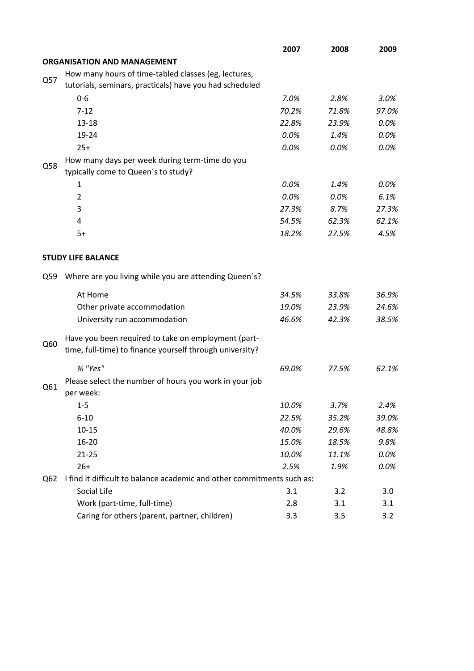|     |                                                                        | 2007  | 2008  | 2009  |
|-----|------------------------------------------------------------------------|-------|-------|-------|
|     | <b>ORGANISATION AND MANAGEMENT</b>                                     |       |       |       |
|     | How many hours of time-tabled classes (eg, lectures,                   |       |       |       |
| Q57 | tutorials, seminars, practicals) have you had scheduled                |       |       |       |
|     | $0 - 6$                                                                | 7.0%  | 2.8%  | 3.0%  |
|     | $7 - 12$                                                               | 70.2% | 71.8% | 97.0% |
|     | $13 - 18$                                                              | 22.8% | 23.9% | 0.0%  |
|     | 19-24                                                                  | 0.0%  | 1.4%  | 0.0%  |
|     | $25+$                                                                  | 0.0%  | 0.0%  | 0.0%  |
|     | How many days per week during term-time do you                         |       |       |       |
| Q58 | typically come to Queen's to study?                                    |       |       |       |
|     | 1                                                                      | 0.0%  | 1.4%  | 0.0%  |
|     | $\overline{2}$                                                         | 0.0%  | 0.0%  | 6.1%  |
|     | 3                                                                      | 27.3% | 8.7%  | 27.3% |
|     | 4                                                                      | 54.5% | 62.3% | 62.1% |
|     | $5+$                                                                   | 18.2% | 27.5% | 4.5%  |
|     |                                                                        |       |       |       |
|     | <b>STUDY LIFE BALANCE</b>                                              |       |       |       |
| Q59 | Where are you living while you are attending Queen's?                  |       |       |       |
|     | At Home                                                                | 34.5% | 33.8% | 36.9% |
|     | Other private accommodation                                            | 19.0% | 23.9% | 24.6% |
|     | University run accommodation                                           | 46.6% | 42.3% | 38.5% |
|     | Have you been required to take on employment (part-                    |       |       |       |
| Q60 | time, full-time) to finance yourself through university?               |       |       |       |
|     | % "Yes"                                                                | 69.0% | 77.5% | 62.1% |
| Q61 | Please select the number of hours you work in your job                 |       |       |       |
|     | per week:                                                              |       |       |       |
|     | $1 - 5$                                                                | 10.0% | 3.7%  | 2.4%  |
|     | $6 - 10$                                                               | 22.5% | 35.2% | 39.0% |
|     | $10 - 15$                                                              | 40.0% | 29.6% | 48.8% |
|     | 16-20                                                                  | 15.0% | 18.5% | 9.8%  |
|     | $21 - 25$                                                              | 10.0% | 11.1% | 0.0%  |
|     | $26+$                                                                  | 2.5%  | 1.9%  | 0.0%  |
| Q62 | I find it difficult to balance academic and other commitments such as: |       |       |       |
|     | Social Life                                                            | 3.1   | 3.2   | 3.0   |
|     | Work (part-time, full-time)                                            | 2.8   | 3.1   | 3.1   |
|     | Caring for others (parent, partner, children)                          | 3.3   | 3.5   | 3.2   |